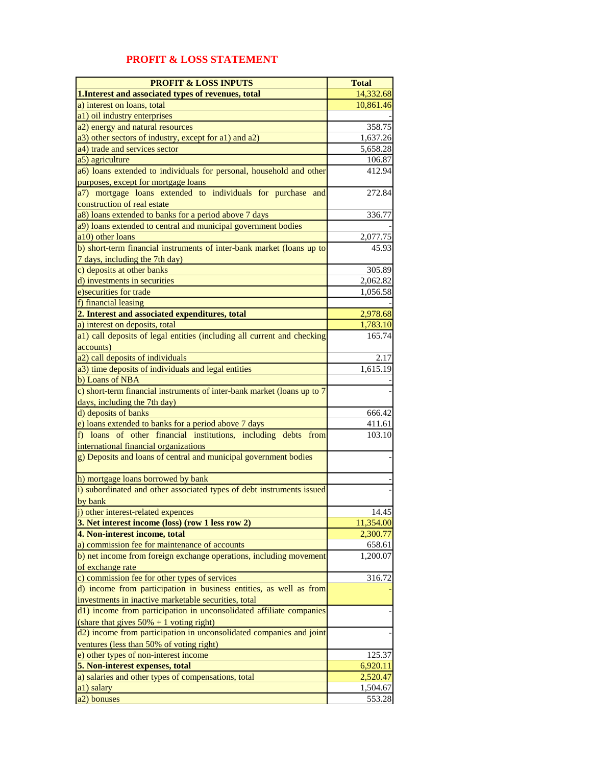## **PROFIT & LOSS INPUTS** Total **1.Interest and associated types of revenues, total 14,332.68** a) interest on loans, total  $\vert$  10,861.46 a1) oil industry enterprises a2) energy and natural resources 358.75 a3) other sectors of industry, except for a1) and a2) 1,637.26<br>a4) trade and services sector 5.658.28 a4) trade and services sector 5,658.28<br>a5) agriculture 5,658.28 a5) agriculture a6) loans extended to individuals for personal, household and other purposes, except for mortgage loans 412.94 a7) mortgage loans extended to individuals for purchase and construction of real estate 272.84 a8) loans extended to banks for a period above 7 days 336.77 a9) loans extended to central and municipal government bodies a10) other loans  $2,077.75$ b) short-term financial instruments of inter-bank market (loans up to 7 days, including the 7th day) 45.93 c) deposits at other banks 305.89 d) investments in securities 2,062.82 e)securities for trade 1,056.58 f) financial leasing **2. Interest and associated expenditures, total** 2,978.68 a) interest on deposits, total  $1,783.10$ a1) call deposits of legal entities (including all current and checking accounts) 165.74  $\alpha$ 2) call deposits of individuals 2.17  $(a3)$  time deposits of individuals and legal entities 1,615.19 b) Loans of NBA c) short-term financial instruments of inter-bank market (loans up to 7 days, including the 7th day) - 100 minutes d) deposits of banks  $\overline{666.42}$ e) loans extended to banks for a period above 7 days 411.61 f) loans of other financial institutions, including debts from international financial organizations 103.10 g) Deposits and loans of central and municipal government bodies h) mortgage loans borrowed by bank i) subordinated and other associated types of debt instruments issued by bank - 100 minutes j) other interest-related expences 14.45 **3. Net interest income (loss) (row 1 less row 2)** 11,354.00 **4. Non-interest income, total** 2,300.77 a) commission fee for maintenance of accounts 658.61 b) net income from foreign exchange operations, including movement of exchange rate 1,200.07 c) commission fee for other types of services 316.72 d) income from participation in business entities, as well as from investments in inactive marketable securities, total **Contract Contract** d1) income from participation in unconsolidated affiliate companies (share that gives  $50\% + 1$  voting right) - 100 minutes d2) income from participation in unconsolidated companies and joint ventures (less than 50% of voting right) - 100 minutes e) other types of non-interest income 125.37 **5. Non-interest expenses, total** 6,920.11 a) salaries and other types of compensations, total 2,520.47 a1) salary  $1,504.67$  $\alpha$ 2) bonuses 553.28

## **PROFIT & LOSS STATEMENT**